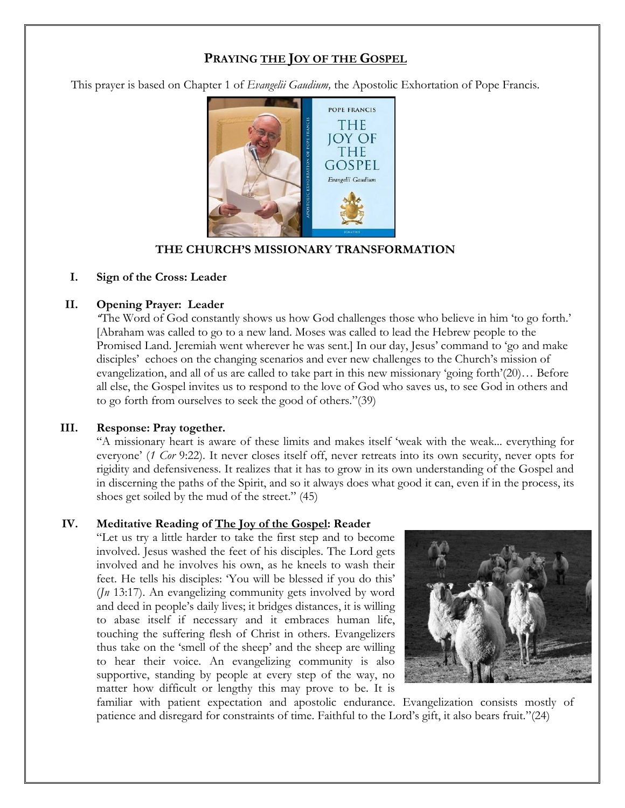# **PRAYING THE JOY OF THE GOSPEL**

This prayer is based on Chapter 1 of *Evangelii Gaudium,* the Apostolic Exhortation of Pope Francis.



### **THE CHURCH'S MISSIONARY TRANSFORMATION**

### **I. Sign of the Cross: Leader**

#### **II. Opening Prayer: Leader**

*"*The Word of God constantly shows us how God challenges those who believe in him 'to go forth.' [Abraham was called to go to a new land. Moses was called to lead the Hebrew people to the Promised Land. Jeremiah went wherever he was sent.] In our day, Jesus' command to 'go and make disciples' echoes on the changing scenarios and ever new challenges to the Church's mission of evangelization, and all of us are called to take part in this new missionary 'going forth'(20)… Before all else, the Gospel invites us to respond to the love of God who saves us, to see God in others and to go forth from ourselves to seek the good of others."(39)

#### **III. Response: Pray together.**

"A missionary heart is aware of these limits and makes itself 'weak with the weak... everything for everyone' (*1 Cor* 9:22). It never closes itself off, never retreats into its own security, never opts for rigidity and defensiveness. It realizes that it has to grow in its own understanding of the Gospel and in discerning the paths of the Spirit, and so it always does what good it can, even if in the process, its shoes get soiled by the mud of the street." (45)

#### **IV. Meditative Reading of The Joy of the Gospel: Reader**

"Let us try a little harder to take the first step and to become involved. Jesus washed the feet of his disciples. The Lord gets involved and he involves his own, as he kneels to wash their feet. He tells his disciples: 'You will be blessed if you do this' (*Jn* 13:17). An evangelizing community gets involved by word and deed in people's daily lives; it bridges distances, it is willing to abase itself if necessary and it embraces human life, touching the suffering flesh of Christ in others. Evangelizers thus take on the 'smell of the sheep' and the sheep are willing to hear their voice. An evangelizing community is also supportive, standing by people at every step of the way, no matter how difficult or lengthy this may prove to be. It is



familiar with patient expectation and apostolic endurance. Evangelization consists mostly of patience and disregard for constraints of time. Faithful to the Lord's gift, it also bears fruit."(24)